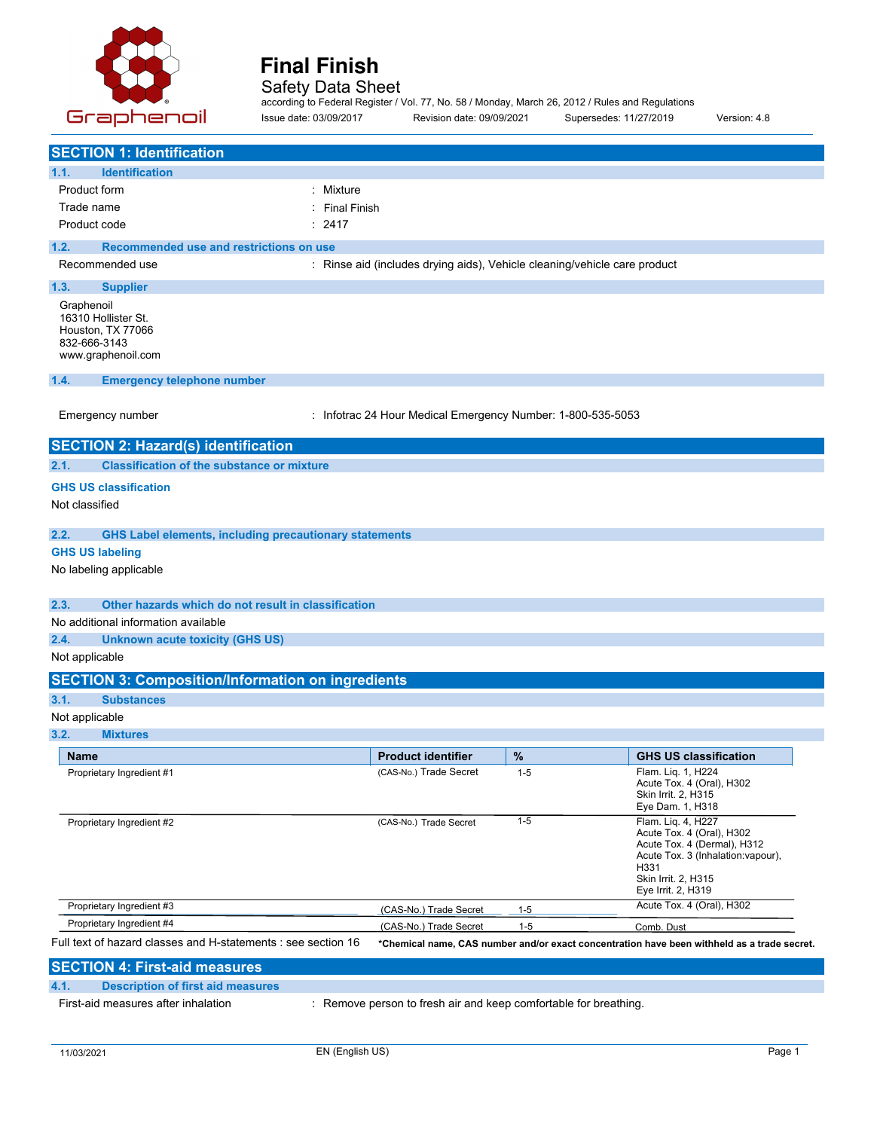

# **Speed Detailer Final Finish** Safety Data Sheet

according to Federal Register / Vol. 77, No. 58 / Monday, March 26, 2012 / Rules and Regulations Issue date: 03/09/2017 Revision date: 09/09/2021 Supersedes: 11/27/2019 Version: 4.8

|                                                                                              | <b>SECTION 1: Identification</b>                              |                                                                           |         |                                                                                                                                                                           |
|----------------------------------------------------------------------------------------------|---------------------------------------------------------------|---------------------------------------------------------------------------|---------|---------------------------------------------------------------------------------------------------------------------------------------------------------------------------|
| 1.1.                                                                                         | <b>Identification</b>                                         |                                                                           |         |                                                                                                                                                                           |
| Product form                                                                                 |                                                               | Mixture                                                                   |         |                                                                                                                                                                           |
| Trade name                                                                                   |                                                               | <b>Final Finish</b>                                                       |         |                                                                                                                                                                           |
| Product code                                                                                 |                                                               | : 2417                                                                    |         |                                                                                                                                                                           |
| 1.2.                                                                                         | Recommended use and restrictions on use                       |                                                                           |         |                                                                                                                                                                           |
| Recommended use                                                                              |                                                               | : Rinse aid (includes drying aids), Vehicle cleaning/vehicle care product |         |                                                                                                                                                                           |
| 1.3.                                                                                         | <b>Supplier</b>                                               |                                                                           |         |                                                                                                                                                                           |
| Graphenoil<br>16310 Hollister St.<br>Houston, TX 77066<br>832-666-3143<br>www.graphenoil.com |                                                               |                                                                           |         |                                                                                                                                                                           |
| 1.4.                                                                                         | <b>Emergency telephone number</b>                             |                                                                           |         |                                                                                                                                                                           |
| Emergency number                                                                             |                                                               | : Infotrac 24 Hour Medical Emergency Number: 1-800-535-5053               |         |                                                                                                                                                                           |
|                                                                                              | <b>SECTION 2: Hazard(s) identification</b>                    |                                                                           |         |                                                                                                                                                                           |
| 2.1.                                                                                         | <b>Classification of the substance or mixture</b>             |                                                                           |         |                                                                                                                                                                           |
| <b>GHS US classification</b>                                                                 |                                                               |                                                                           |         |                                                                                                                                                                           |
| Not classified                                                                               |                                                               |                                                                           |         |                                                                                                                                                                           |
| 2.2.                                                                                         | <b>GHS Label elements, including precautionary statements</b> |                                                                           |         |                                                                                                                                                                           |
| <b>GHS US labeling</b>                                                                       |                                                               |                                                                           |         |                                                                                                                                                                           |
| No labeling applicable                                                                       |                                                               |                                                                           |         |                                                                                                                                                                           |
| 2.3.                                                                                         | Other hazards which do not result in classification           |                                                                           |         |                                                                                                                                                                           |
|                                                                                              | No additional information available                           |                                                                           |         |                                                                                                                                                                           |
| 2.4.                                                                                         | <b>Unknown acute toxicity (GHS US)</b>                        |                                                                           |         |                                                                                                                                                                           |
| Not applicable                                                                               |                                                               |                                                                           |         |                                                                                                                                                                           |
|                                                                                              | <b>SECTION 3: Composition/Information on ingredients</b>      |                                                                           |         |                                                                                                                                                                           |
| 3.1.                                                                                         | <b>Substances</b>                                             |                                                                           |         |                                                                                                                                                                           |
| Not applicable                                                                               |                                                               |                                                                           |         |                                                                                                                                                                           |
| 3.2.                                                                                         | <b>Mixtures</b>                                               |                                                                           |         |                                                                                                                                                                           |
| <b>Name</b>                                                                                  |                                                               | <b>Product identifier</b>                                                 | %       | <b>GHS US classification</b>                                                                                                                                              |
|                                                                                              | Proprietary Ingredient #1                                     | (CAS-No.) Trade Secret                                                    | $1 - 5$ | Flam. Liq. 1, H224<br>Acute Tox. 4 (Oral), H302<br>Skin Irrit. 2, H315<br>Eye Dam. 1, H318                                                                                |
|                                                                                              | Proprietary Ingredient #2                                     | (CAS-No.) Trade Secret                                                    | $1 - 5$ | Flam. Liq. 4, H227<br>Acute Tox. 4 (Oral), H302<br>Acute Tox. 4 (Dermal), H312<br>Acute Tox. 3 (Inhalation: vapour),<br>H331<br>Skin Irrit. 2, H315<br>Eye Irrit. 2, H319 |
|                                                                                              | Proprietary Ingredient #3                                     | (CAS-No.) Trade Secret                                                    | $1 - 5$ | Acute Tox. 4 (Oral), H302                                                                                                                                                 |
|                                                                                              | Proprietary Ingredient #4                                     | (CAS-No.) Trade Secret                                                    | $1 - 5$ | Comb. Dust                                                                                                                                                                |
|                                                                                              | Full text of hazard classes and H-statements : see section 16 |                                                                           |         | *Chemical name, CAS number and/or exact concentration have been withheld as a trade secret.                                                                               |
|                                                                                              | <b>SECTION 4: First-aid measures</b>                          |                                                                           |         |                                                                                                                                                                           |
| 4.1.                                                                                         | <b>Description of first aid measures</b>                      |                                                                           |         |                                                                                                                                                                           |

First-aid measures after inhalation : Remove person to fresh air and keep comfortable for breathing.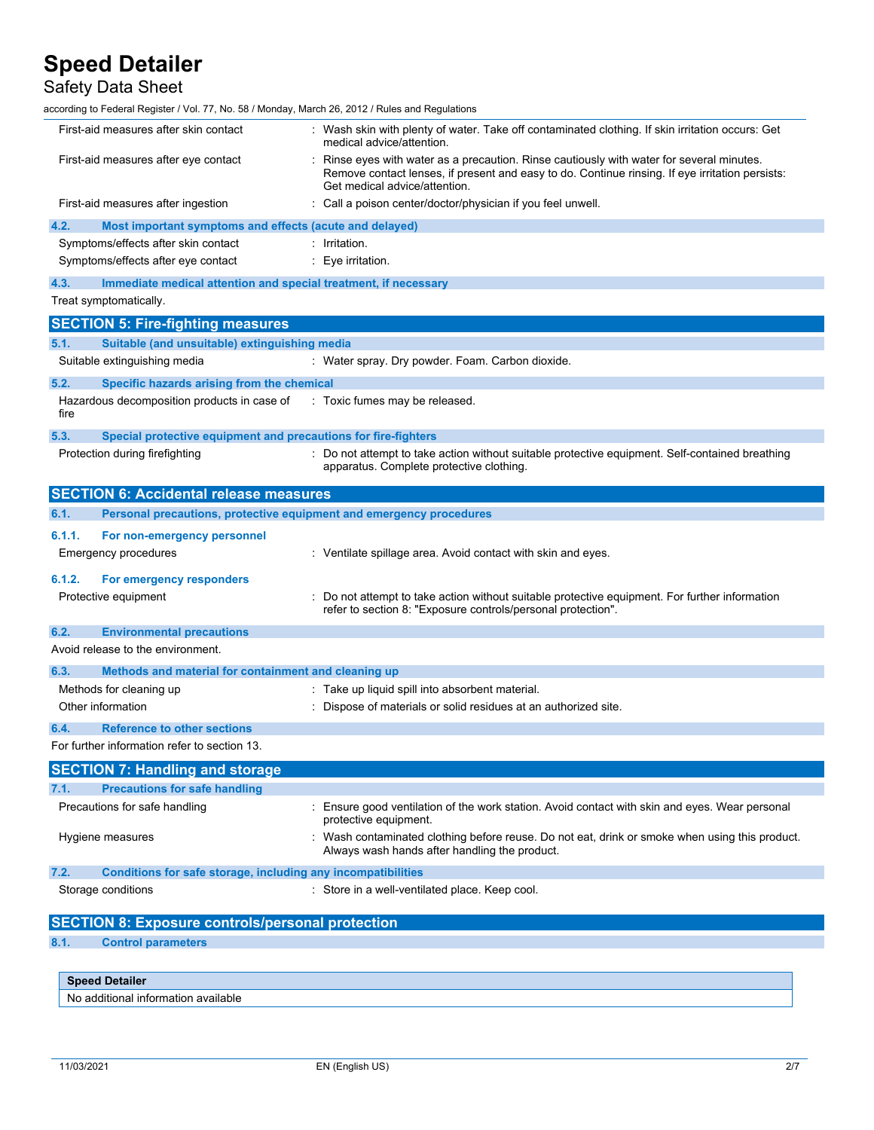Safety Data Sheet

according to Federal Register / Vol. 77, No. 58 / Monday, March 26, 2012 / Rules and Regulations

|              | <b>Speed Detailer</b>                                                                     |                                                                                                                                                                                                                         |
|--------------|-------------------------------------------------------------------------------------------|-------------------------------------------------------------------------------------------------------------------------------------------------------------------------------------------------------------------------|
|              |                                                                                           |                                                                                                                                                                                                                         |
| 8.1.         | <b>Control parameters</b>                                                                 |                                                                                                                                                                                                                         |
|              | <b>SECTION 8: Exposure controls/personal protection</b>                                   |                                                                                                                                                                                                                         |
|              | Storage conditions                                                                        | : Store in a well-ventilated place. Keep cool.                                                                                                                                                                          |
| 7.2.         | Conditions for safe storage, including any incompatibilities                              |                                                                                                                                                                                                                         |
|              | Hygiene measures                                                                          | Always wash hands after handling the product.                                                                                                                                                                           |
|              | Precautions for safe handling                                                             | Ensure good ventilation of the work station. Avoid contact with skin and eyes. Wear personal<br>protective equipment.<br>: Wash contaminated clothing before reuse. Do not eat, drink or smoke when using this product. |
| 7.1.         | <b>Precautions for safe handling</b>                                                      |                                                                                                                                                                                                                         |
|              | <b>SECTION 7: Handling and storage</b>                                                    |                                                                                                                                                                                                                         |
|              | For further information refer to section 13.                                              |                                                                                                                                                                                                                         |
| 6.4.         | <b>Reference to other sections</b>                                                        |                                                                                                                                                                                                                         |
|              | Other information                                                                         | Dispose of materials or solid residues at an authorized site.                                                                                                                                                           |
|              | Methods for cleaning up                                                                   | : Take up liquid spill into absorbent material.                                                                                                                                                                         |
| 6.3.         | Methods and material for containment and cleaning up                                      |                                                                                                                                                                                                                         |
|              | Avoid release to the environment.                                                         |                                                                                                                                                                                                                         |
| 6.2.         | <b>Environmental precautions</b>                                                          |                                                                                                                                                                                                                         |
|              |                                                                                           | refer to section 8: "Exposure controls/personal protection".                                                                                                                                                            |
| 6.1.2.       | For emergency responders<br>Protective equipment                                          | Do not attempt to take action without suitable protective equipment. For further information                                                                                                                            |
| 6.1.1.       | For non-emergency personnel<br>Emergency procedures                                       | : Ventilate spillage area. Avoid contact with skin and eyes.                                                                                                                                                            |
| 6.1.         | Personal precautions, protective equipment and emergency procedures                       |                                                                                                                                                                                                                         |
|              | <b>SECTION 6: Accidental release measures</b>                                             |                                                                                                                                                                                                                         |
|              | Protection during firefighting                                                            | : Do not attempt to take action without suitable protective equipment. Self-contained breathing<br>apparatus. Complete protective clothing.                                                                             |
| 5.3.         | Special protective equipment and precautions for fire-fighters                            |                                                                                                                                                                                                                         |
| 5.2.<br>fire | Specific hazards arising from the chemical<br>Hazardous decomposition products in case of | : Toxic fumes may be released.                                                                                                                                                                                          |
|              | Suitable extinguishing media                                                              | : Water spray. Dry powder. Foam. Carbon dioxide.                                                                                                                                                                        |
| 5.1.         | Suitable (and unsuitable) extinguishing media                                             |                                                                                                                                                                                                                         |
|              | <b>SECTION 5: Fire-fighting measures</b>                                                  |                                                                                                                                                                                                                         |
|              | Treat symptomatically.                                                                    |                                                                                                                                                                                                                         |
| 4.3.         | Immediate medical attention and special treatment, if necessary                           |                                                                                                                                                                                                                         |
|              | Symptoms/effects after eye contact                                                        | Eye irritation.                                                                                                                                                                                                         |
|              | Symptoms/effects after skin contact                                                       | Irritation.                                                                                                                                                                                                             |
| 4.2.         | Most important symptoms and effects (acute and delayed)                                   |                                                                                                                                                                                                                         |
|              | First-aid measures after ingestion                                                        | Get medical advice/attention.<br>: Call a poison center/doctor/physician if you feel unwell.                                                                                                                            |
|              | First-aid measures after eye contact                                                      | medical advice/attention.<br>Rinse eyes with water as a precaution. Rinse cautiously with water for several minutes.<br>Remove contact lenses, if present and easy to do. Continue rinsing. If eye irritation persists: |
|              | First-aid measures after skin contact                                                     | : Wash skin with plenty of water. Take off contaminated clothing. If skin irritation occurs: Get                                                                                                                        |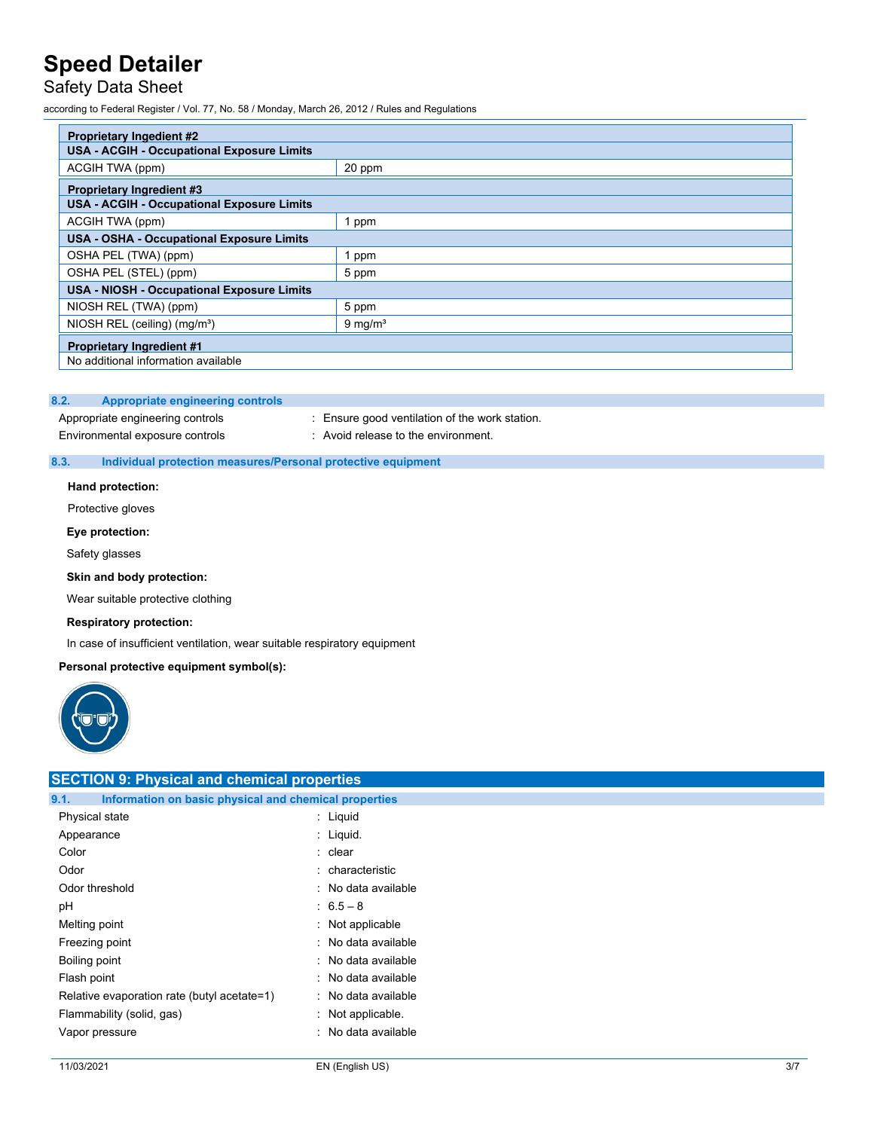# Safety Data Sheet

according to Federal Register / Vol. 77, No. 58 / Monday, March 26, 2012 / Rules and Regulations

| <b>Proprietary Ingedient #2</b>                   |                    |  |  |
|---------------------------------------------------|--------------------|--|--|
| <b>USA - ACGIH - Occupational Exposure Limits</b> |                    |  |  |
| ACGIH TWA (ppm)                                   | 20 ppm             |  |  |
| <b>Proprietary Ingredient #3</b>                  |                    |  |  |
| <b>USA - ACGIH - Occupational Exposure Limits</b> |                    |  |  |
| ACGIH TWA (ppm)                                   | 1 ppm              |  |  |
| <b>USA - OSHA - Occupational Exposure Limits</b>  |                    |  |  |
| OSHA PEL (TWA) (ppm)                              | 1 ppm              |  |  |
| OSHA PEL (STEL) (ppm)                             | 5 ppm              |  |  |
| <b>USA - NIOSH - Occupational Exposure Limits</b> |                    |  |  |
| NIOSH REL (TWA) (ppm)                             | 5 ppm              |  |  |
| NIOSH REL (ceiling) (mg/m <sup>3</sup> )          | $9 \text{ mg/m}^3$ |  |  |
| <b>Proprietary Ingredient #1</b>                  |                    |  |  |
| No additional information available               |                    |  |  |

### **8.2. Appropriate engineering controls**

Appropriate engineering controls : Ensure good ventilation of the work station.

Environmental exposure controls : Avoid release to the environment.

## **8.3. Individual protection measures/Personal protective equipment**

**Hand protection:**

Protective gloves

### **Eye protection:**

Safety glasses

### **Skin and body protection:**

Wear suitable protective clothing

#### **Respiratory protection:**

In case of insufficient ventilation, wear suitable respiratory equipment

### **Personal protective equipment symbol(s):**



| <b>SECTION 9: Physical and chemical properties</b>            |                      |  |  |  |
|---------------------------------------------------------------|----------------------|--|--|--|
| Information on basic physical and chemical properties<br>9.1. |                      |  |  |  |
| Physical state                                                | : Liquid             |  |  |  |
| Appearance                                                    | $\therefore$ Liquid. |  |  |  |
| Color                                                         | : clear              |  |  |  |
| Odor                                                          | : characteristic     |  |  |  |
| Odor threshold                                                | : No data available  |  |  |  |
| pH                                                            | $: 6.5 - 8$          |  |  |  |
| Melting point                                                 | : Not applicable     |  |  |  |
| Freezing point                                                | : No data available  |  |  |  |
| Boiling point                                                 | : No data available  |  |  |  |
| Flash point                                                   | : No data available  |  |  |  |
| Relative evaporation rate (butyl acetate=1)                   | : No data available  |  |  |  |
| Flammability (solid, gas)                                     | : Not applicable.    |  |  |  |
| Vapor pressure                                                | : No data available  |  |  |  |
|                                                               |                      |  |  |  |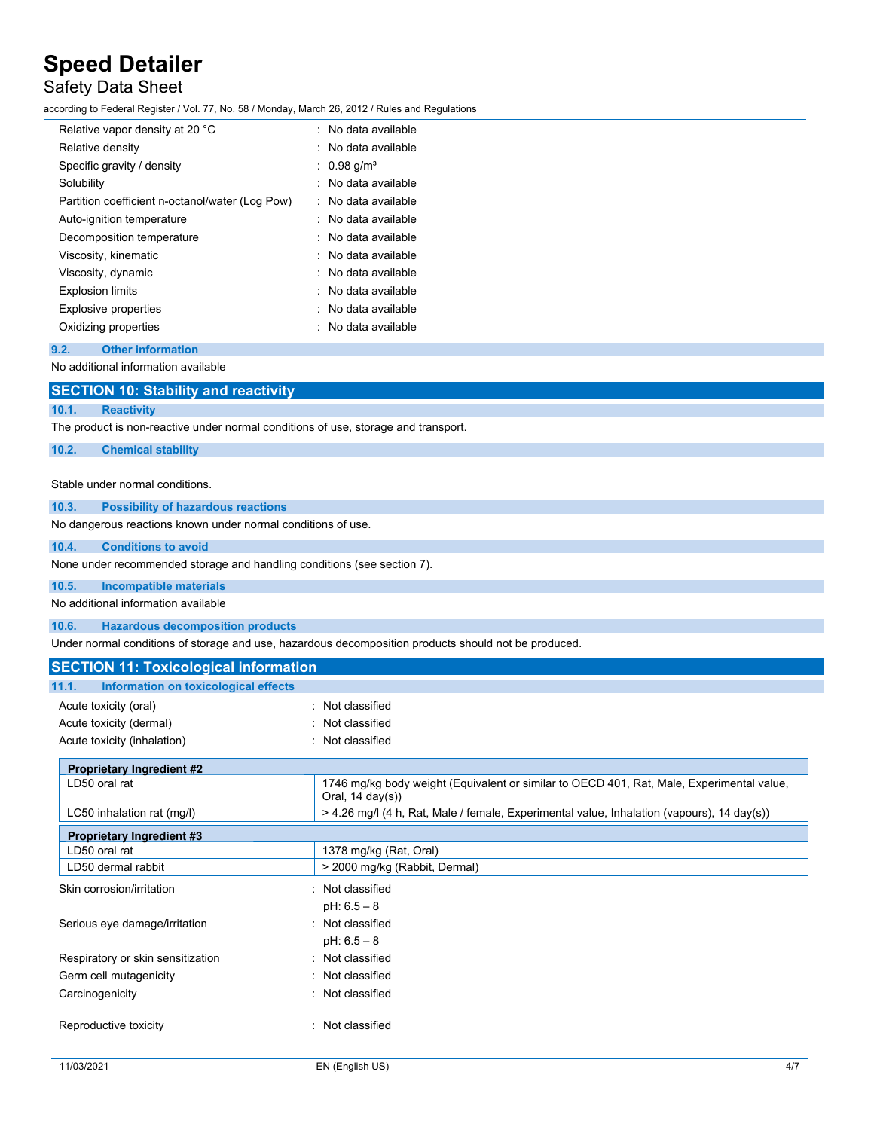# Safety Data Sheet

according to Federal Register / Vol. 77, No. 58 / Monday, March 26, 2012 / Rules and Regulations

| Relative vapor density at 20 °C                 | . No data available            |
|-------------------------------------------------|--------------------------------|
| Relative density                                | . No data available            |
| Specific gravity / density                      | $0.98$ g/m <sup>3</sup>        |
| Solubility                                      | No data available              |
| Partition coefficient n-octanol/water (Log Pow) | $\therefore$ No data available |
| Auto-ignition temperature                       | : No data available            |
| Decomposition temperature                       | : No data available            |
| Viscosity, kinematic                            | No data available              |
| Viscosity, dynamic                              | : No data available            |
| <b>Explosion limits</b>                         | No data available              |
| <b>Explosive properties</b>                     | : No data available            |
| Oxidizing properties                            | : No data available            |

#### **9.2. Other information**

No additional information available

|       | <b>SECTION 10: Stability and reactivity</b>                                        |
|-------|------------------------------------------------------------------------------------|
| 10.1. | Reactivity                                                                         |
|       | The product is non-reactive under normal conditions of use, storage and transport. |
| 10.2. | <b>Chemical stability</b>                                                          |
|       |                                                                                    |

#### Stable under normal conditions.

### **10.3. Possibility of hazardous reactions**

No dangerous reactions known under normal conditions of use.

#### **10.4. Conditions to avoid**

None under recommended storage and handling conditions (see section 7).

## **10.5. Incompatible materials**

No additional information available

**10.6. Hazardous decomposition products**

Under normal conditions of storage and use, hazardous decomposition products should not be produced.

| <b>SECTION 11: Toxicological information</b>  |                                                                                                                          |  |  |
|-----------------------------------------------|--------------------------------------------------------------------------------------------------------------------------|--|--|
| Information on toxicological effects<br>11.1. |                                                                                                                          |  |  |
| Acute toxicity (oral)                         | : Not classified                                                                                                         |  |  |
| Acute toxicity (dermal)                       | Not classified                                                                                                           |  |  |
| Acute toxicity (inhalation)                   | Not classified                                                                                                           |  |  |
| <b>Proprietary Ingredient #2</b>              |                                                                                                                          |  |  |
| LD50 oral rat                                 | 1746 mg/kg body weight (Equivalent or similar to OECD 401, Rat, Male, Experimental value,<br>Oral, $14 \text{ day}(s)$ ) |  |  |
| LC50 inhalation rat (mq/l)                    | > 4.26 mg/l (4 h, Rat, Male / female, Experimental value, Inhalation (vapours), 14 day(s))                               |  |  |
| <b>Proprietary Ingredient #3</b>              |                                                                                                                          |  |  |
| LD50 oral rat                                 | 1378 mg/kg (Rat, Oral)                                                                                                   |  |  |
| LD50 dermal rabbit                            | > 2000 mg/kg (Rabbit, Dermal)                                                                                            |  |  |
| Skin corrosion/irritation                     | Not classified                                                                                                           |  |  |
|                                               | $pH: 6.5 - 8$                                                                                                            |  |  |
| Serious eye damage/irritation                 | Not classified                                                                                                           |  |  |
|                                               | $pH: 6.5 - 8$                                                                                                            |  |  |
| Respiratory or skin sensitization             | Not classified                                                                                                           |  |  |
| Germ cell mutagenicity                        | Not classified                                                                                                           |  |  |
| Carcinogenicity                               | Not classified                                                                                                           |  |  |
| Reproductive toxicity                         | Not classified                                                                                                           |  |  |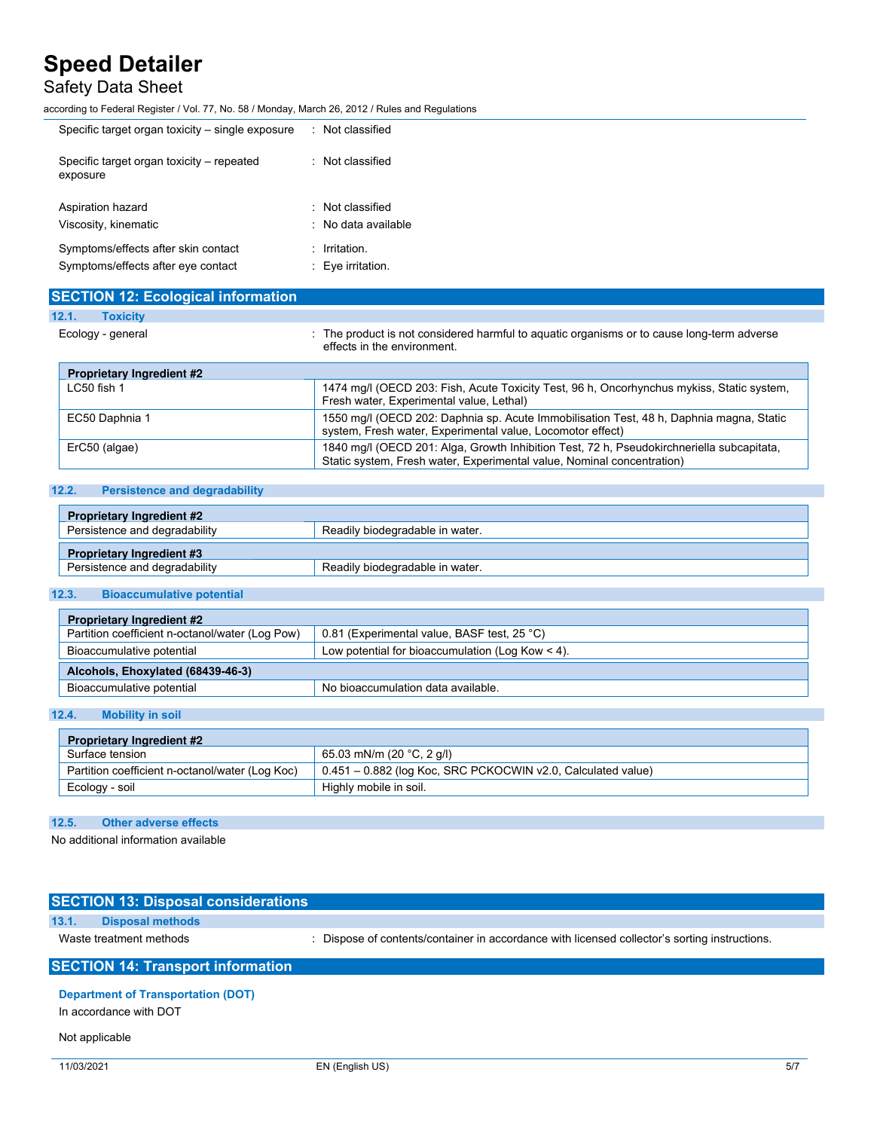# Safety Data Sheet

according to Federal Register / Vol. 77, No. 58 / Monday, March 26, 2012 / Rules and Regulations

| Specific target organ toxicity – single exposure      | : Not classified               |
|-------------------------------------------------------|--------------------------------|
| Specific target organ toxicity – repeated<br>exposure | : Not classified               |
| Aspiration hazard                                     | Not classified                 |
| Viscosity, kinematic                                  | $\therefore$ No data available |
| Symptoms/effects after skin contact                   | : Irritation.                  |
| Symptoms/effects after eye contact                    | $\therefore$ Eye irritation.   |

| <b>SECTION 12: Ecological information</b> |                                                                                                                                                                     |
|-------------------------------------------|---------------------------------------------------------------------------------------------------------------------------------------------------------------------|
| 12.1.<br><b>Toxicity</b>                  |                                                                                                                                                                     |
| Ecology - general                         | The product is not considered harmful to aguatic organisms or to cause long-term adverse<br>effects in the environment                                              |
| <b>Proprietary Ingredient #2</b>          |                                                                                                                                                                     |
| $LC50$ fish 1                             | 1474 mg/l (OECD 203: Fish, Acute Toxicity Test, 96 h, Oncorhynchus mykiss, Static system,<br>Fresh water, Experimental value, Lethal)                               |
| EC50 Daphnia 1                            | 1550 mg/l (OECD 202: Daphnia sp. Acute Immobilisation Test, 48 h, Daphnia magna, Static<br>system, Fresh water, Experimental value, Locomotor effect)               |
| ErC50 (algae)                             | 1840 mg/l (OECD 201: Alga, Growth Inhibition Test, 72 h, Pseudokirchneriella subcapitata,<br>Static system, Fresh water, Experimental value, Nominal concentration) |

## **12.2. Persistence and degradability**

| <b>Proprietary Ingredient #2</b> |                                 |  |
|----------------------------------|---------------------------------|--|
| Persistence and degradability    | Readily biodegradable in water. |  |
| <b>Proprietary Ingredient #3</b> |                                 |  |
| Persistence and degradability    | Readily biodegradable in water. |  |

### **12.3. Bioaccumulative potential**

| <b>Proprietary Ingredient #2</b>                                                               |                                                    |  |
|------------------------------------------------------------------------------------------------|----------------------------------------------------|--|
| Partition coefficient n-octanol/water (Log Pow)<br>0.81 (Experimental value, BASF test, 25 °C) |                                                    |  |
| Bioaccumulative potential                                                                      | Low potential for bioaccumulation (Log Kow $<$ 4). |  |
| Alcohols, Ehoxylated (68439-46-3)                                                              |                                                    |  |
| Bioaccumulative potential                                                                      | No bioaccumulation data available.                 |  |

## **12.4. Mobility in soil**

| <b>Proprietary Ingredient #2</b>                |                                                                      |
|-------------------------------------------------|----------------------------------------------------------------------|
| Surface tension                                 | 65.03 mN/m (20 °C, 2 g/l)                                            |
| Partition coefficient n-octanol/water (Log Koc) | $\vert$ 0.451 – 0.882 (log Koc, SRC PCKOCWIN v2.0, Calculated value) |
| Ecology - soil                                  | 'Highly mobile in soil.                                              |

### **12.5. Other adverse effects**

No additional information available

| <b>SECTION 13: Disposal considerations</b> |                                                                                             |
|--------------------------------------------|---------------------------------------------------------------------------------------------|
| 13.1.<br><b>Disposal methods</b>           |                                                                                             |
| Waste treatment methods                    | Dispose of contents/container in accordance with licensed collector's sorting instructions. |
| <b>SECTION 14: Transport information</b>   |                                                                                             |

## **Department of Transportation (DOT)**

In accordance with DOT

## Not applicable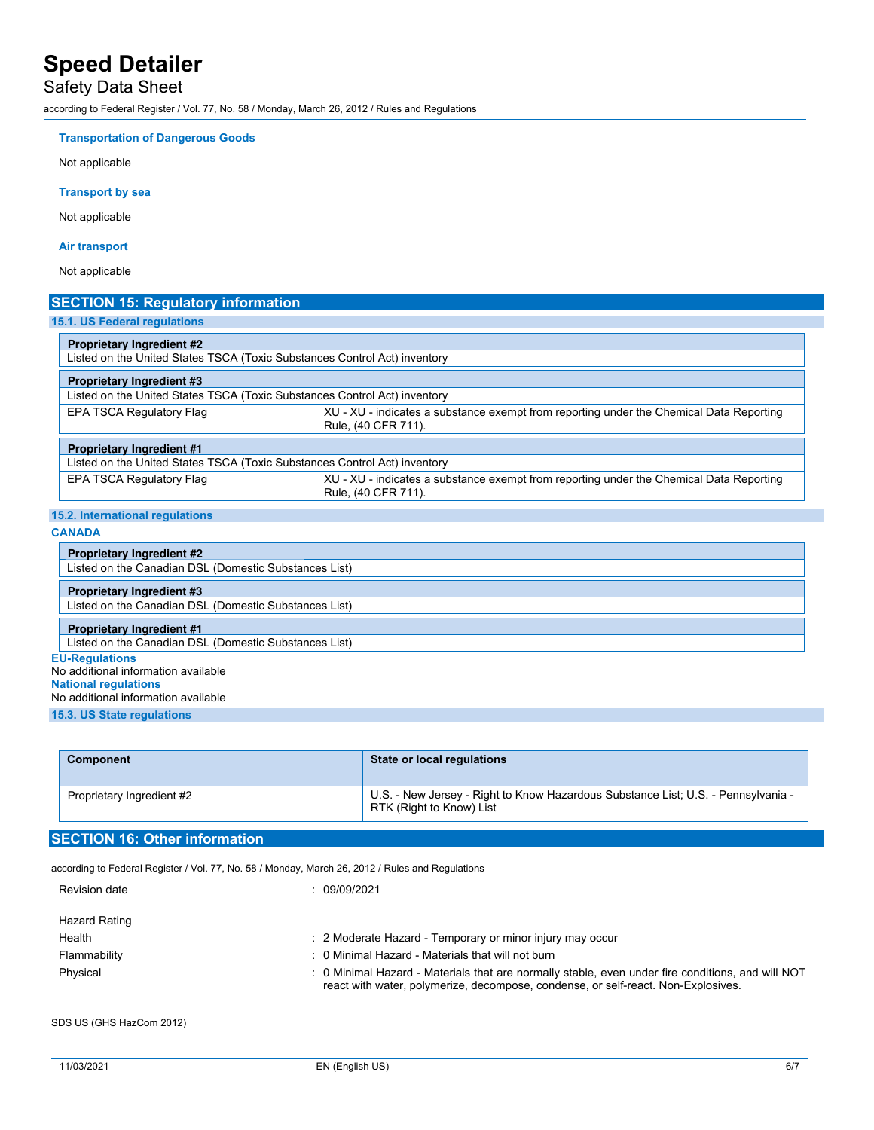Safety Data Sheet

according to Federal Register / Vol. 77, No. 58 / Monday, March 26, 2012 / Rules and Regulations

### **Transportation of Dangerous Goods**

Not applicable

### **Transport by sea**

Not applicable

### **Air transport**

Not applicable

| <b>SECTION 15: Regulatory information</b>                                 |                                                                                                                |
|---------------------------------------------------------------------------|----------------------------------------------------------------------------------------------------------------|
| 15.1. US Federal regulations                                              |                                                                                                                |
| <b>Proprietary Ingredient #2</b>                                          |                                                                                                                |
| Listed on the United States TSCA (Toxic Substances Control Act) inventory |                                                                                                                |
| <b>Proprietary Ingredient #3</b>                                          |                                                                                                                |
| Listed on the United States TSCA (Toxic Substances Control Act) inventory |                                                                                                                |
| EPA TSCA Regulatory Flag                                                  | XU - XU - indicates a substance exempt from reporting under the Chemical Data Reporting<br>Rule, (40 CFR 711). |
| <b>Proprietary Ingredient #1</b>                                          |                                                                                                                |
| Listed on the United States TSCA (Toxic Substances Control Act) inventory |                                                                                                                |
| EPA TSCA Regulatory Flag                                                  | XU - XU - indicates a substance exempt from reporting under the Chemical Data Reporting<br>Rule, (40 CFR 711). |

| 15.2. International regulations |
|---------------------------------|
|---------------------------------|

| м.      | ۰г |  |
|---------|----|--|
| 74<br>u |    |  |

| <b>Proprietary Ingredient #2</b>                      |
|-------------------------------------------------------|
| Listed on the Canadian DSL (Domestic Substances List) |
| <b>Proprietary Ingredient #3</b>                      |
| Listed on the Canadian DSL (Domestic Substances List) |
| <b>Proprietary Ingredient #1</b>                      |
| Listed on the Canadian DSL (Domestic Substances List) |
| <b>EU-Regulations</b>                                 |
| No additional information available                   |
| <b>National regulations</b>                           |
| No additional information available                   |
| <b>15.3. US State regulations</b>                     |

| <b>Component</b>          | State or local regulations                                                                                    |
|---------------------------|---------------------------------------------------------------------------------------------------------------|
| Proprietary Ingredient #2 | U.S. - New Jersey - Right to Know Hazardous Substance List; U.S. - Pennsylvania -<br>RTK (Right to Know) List |

## **SECTION 16: Other information**

according to Federal Register / Vol. 77, No. 58 / Monday, March 26, 2012 / Rules and Regulations

| Revision date | 09/09/2021                                                                                                                                                                             |
|---------------|----------------------------------------------------------------------------------------------------------------------------------------------------------------------------------------|
| Hazard Rating |                                                                                                                                                                                        |
| Health        | 2 Moderate Hazard - Temporary or minor injury may occur                                                                                                                                |
| Flammability  | : 0 Minimal Hazard - Materials that will not burn                                                                                                                                      |
| Physical      | : 0 Minimal Hazard - Materials that are normally stable, even under fire conditions, and will NOT<br>react with water, polymerize, decompose, condense, or self-react. Non-Explosives. |

SDS US (GHS HazCom 2012)